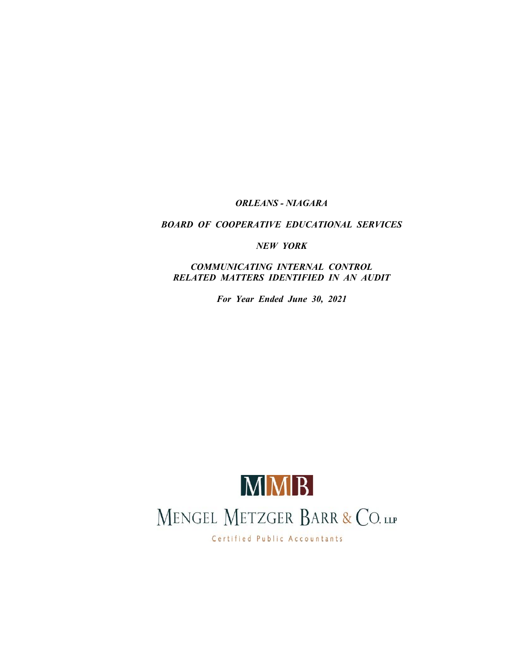# *ORLEANS - NIAGARA*

## *BOARD OF COOPERATIVE EDUCATIONAL SERVICES*

*NEW YORK*

*COMMUNICATING INTERNAL CONTROL RELATED MATTERS IDENTIFIED IN AN AUDIT*

*For Year Ended June 30, 2021*



Certified Public Accountants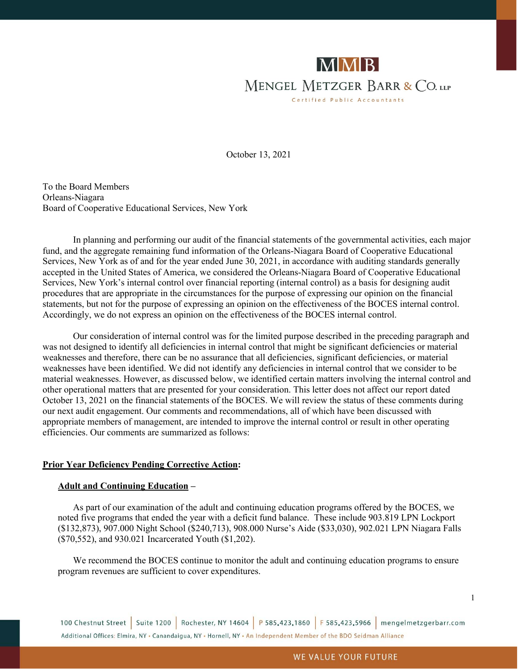

October 13, 2021

To the Board Members Orleans-Niagara Board of Cooperative Educational Services, New York

In planning and performing our audit of the financial statements of the governmental activities, each major fund, and the aggregate remaining fund information of the Orleans-Niagara Board of Cooperative Educational Services, New York as of and for the year ended June 30, 2021, in accordance with auditing standards generally accepted in the United States of America, we considered the Orleans-Niagara Board of Cooperative Educational Services, New York's internal control over financial reporting (internal control) as a basis for designing audit procedures that are appropriate in the circumstances for the purpose of expressing our opinion on the financial statements, but not for the purpose of expressing an opinion on the effectiveness of the BOCES internal control. Accordingly, we do not express an opinion on the effectiveness of the BOCES internal control.

Our consideration of internal control was for the limited purpose described in the preceding paragraph and was not designed to identify all deficiencies in internal control that might be significant deficiencies or material weaknesses and therefore, there can be no assurance that all deficiencies, significant deficiencies, or material weaknesses have been identified. We did not identify any deficiencies in internal control that we consider to be material weaknesses. However, as discussed below, we identified certain matters involving the internal control and other operational matters that are presented for your consideration. This letter does not affect our report dated October 13, 2021 on the financial statements of the BOCES. We will review the status of these comments during our next audit engagement. Our comments and recommendations, all of which have been discussed with appropriate members of management, are intended to improve the internal control or result in other operating efficiencies. Our comments are summarized as follows:

## **Prior Year Deficiency Pending Corrective Action:**

#### **Adult and Continuing Education –**

As part of our examination of the adult and continuing education programs offered by the BOCES, we noted five programs that ended the year with a deficit fund balance. These include 903.819 LPN Lockport (\$132,873), 907.000 Night School (\$240,713), 908.000 Nurse's Aide (\$33,030), 902.021 LPN Niagara Falls (\$70,552), and 930.021 Incarcerated Youth (\$1,202).

We recommend the BOCES continue to monitor the adult and continuing education programs to ensure program revenues are sufficient to cover expenditures.

100 Chestnut Street | Suite 1200 | Rochester, NY 14604 | P 585.423.1860 | F 585.423.5966 | mengelmetzgerbarr.com Additional Offices: Elmira, NY . Canandaigua, NY . Hornell, NY . An Independent Member of the BDO Seidman Alliance

1